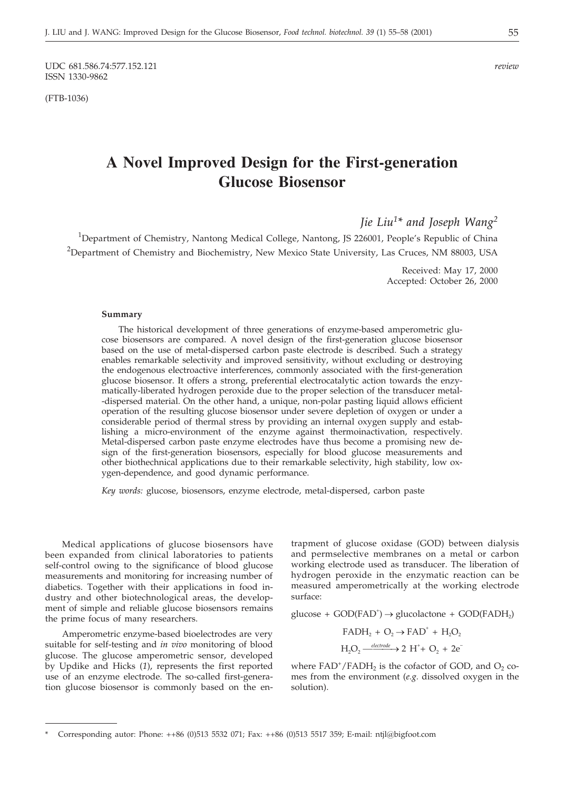UDC 681.586.74:577.152.121 *review* ISSN 1330-9862

(FTB-1036)

# **A Novel Improved Design for the First-generation Glucose Biosensor**

*Jie Liu1\* and Joseph Wang2*

<sup>1</sup>Department of Chemistry, Nantong Medical College, Nantong, JS 226001, People's Republic of China <sup>2</sup>Department of Chemistry and Biochemistry, New Mexico State University, Las Cruces, NM 88003, USA

> Received: May 17, 2000 Accepted: October 26, 2000

#### **Summary**

The historical development of three generations of enzyme-based amperometric glucose biosensors are compared. A novel design of the first-generation glucose biosensor based on the use of metal-dispersed carbon paste electrode is described. Such a strategy enables remarkable selectivity and improved sensitivity, without excluding or destroying the endogenous electroactive interferences, commonly associated with the first-generation glucose biosensor. It offers a strong, preferential electrocatalytic action towards the enzymatically-liberated hydrogen peroxide due to the proper selection of the transducer metal- -dispersed material. On the other hand, a unique, non-polar pasting liquid allows efficient operation of the resulting glucose biosensor under severe depletion of oxygen or under a considerable period of thermal stress by providing an internal oxygen supply and establishing a micro-environment of the enzyme against thermoinactivation, respectively. Metal-dispersed carbon paste enzyme electrodes have thus become a promising new design of the first-generation biosensors, especially for blood glucose measurements and other biothechnical applications due to their remarkable selectivity, high stability, low oxygen-dependence, and good dynamic performance.

*Key words:* glucose, biosensors, enzyme electrode, metal-dispersed, carbon paste

Medical applications of glucose biosensors have been expanded from clinical laboratories to patients self-control owing to the significance of blood glucose measurements and monitoring for increasing number of diabetics. Together with their applications in food industry and other biotechnological areas, the development of simple and reliable glucose biosensors remains the prime focus of many researchers.

Amperometric enzyme-based bioelectrodes are very suitable for self-testing and *in vivo* monitoring of blood glucose. The glucose amperometric sensor, developed by Updike and Hicks (*1*), represents the first reported use of an enzyme electrode. The so-called first-generation glucose biosensor is commonly based on the en-

trapment of glucose oxidase (GOD) between dialysis and permselective membranes on a metal or carbon working electrode used as transducer. The liberation of hydrogen peroxide in the enzymatic reaction can be measured amperometrically at the working electrode surface:

 $glucose + GOD(FAD<sup>+</sup>) \rightarrow glucolactone + GOD(FADH<sub>2</sub>)$ 

$$
\begin{aligned} \mathrm{FADH_2} + \mathrm{O_2} &\rightarrow \mathrm{FAD}^+ + \mathrm{H_2O_2} \\ \mathrm{H_2O_2} \xrightarrow{\text{electrode}} &\rightarrow 2 \mathrm{H^+} + \mathrm{O_2} + 2\mathrm{e^-} \end{aligned}
$$

where  $FAD^+/FADH_2$  is the cofactor of GOD, and  $O_2$  comes from the environment (*e.g.* dissolved oxygen in the solution).

<sup>\*</sup> Corresponding autor: Phone: ++86 (0)513 5532 071; Fax: ++86 (0)513 5517 359; E-mail: ntjl*@*bigfoot.com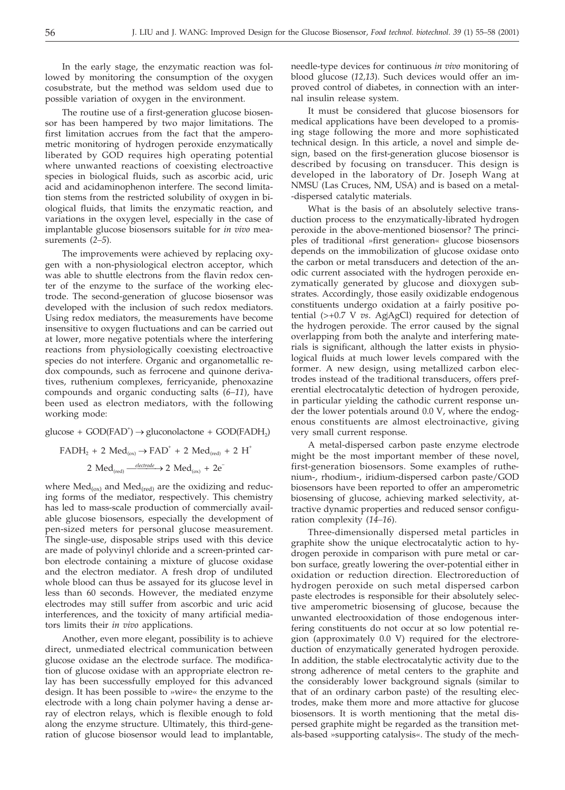In the early stage, the enzymatic reaction was followed by monitoring the consumption of the oxygen cosubstrate, but the method was seldom used due to possible variation of oxygen in the environment.

The routine use of a first-generation glucose biosensor has been hampered by two major limitations. The first limitation accrues from the fact that the amperometric monitoring of hydrogen peroxide enzymatically liberated by GOD requires high operating potential where unwanted reactions of coexisting electroactive species in biological fluids, such as ascorbic acid, uric acid and acidaminophenon interfere. The second limitation stems from the restricted solubility of oxygen in biological fluids, that limits the enzymatic reaction, and variations in the oxygen level, especially in the case of implantable glucose biosensors suitable for *in vivo* measurements (*2–5*).

The improvements were achieved by replacing oxygen with a non-physiological electron acceptor, which was able to shuttle electrons from the flavin redox center of the enzyme to the surface of the working electrode. The second-generation of glucose biosensor was developed with the inclusion of such redox mediators. Using redox mediators, the measurements have become insensitive to oxygen fluctuations and can be carried out at lower, more negative potentials where the interfering reactions from physiologically coexisting electroactive species do not interfere. Organic and organometallic redox compounds, such as ferrocene and quinone derivatives, ruthenium complexes, ferricyanide, phenoxazine compounds and organic conducting salts (*6–11*), have been used as electron mediators, with the following working mode:

 $glucose + GOD(FAD<sup>+</sup>) \rightarrow gluconolactone + GOD(FADH<sub>2</sub>)$ 

$$
FADH_2 + 2 Med_{(ox)} \rightarrow FAD^+ + 2 Med_{(red)} + 2 H^+
$$
  
2 Med<sub>(red)</sub>  $\xrightarrow{electrode}$  2 Med<sub>(ox)</sub> + 2e<sup>-</sup>

where  $Med_{(ox)}$  and  $Med_{(red)}$  are the oxidizing and reducing forms of the mediator, respectively. This chemistry has led to mass-scale production of commercially available glucose biosensors, especially the development of pen-sized meters for personal glucose measurement. The single-use, disposable strips used with this device are made of polyvinyl chloride and a screen-printed carbon electrode containing a mixture of glucose oxidase and the electron mediator. A fresh drop of undiluted whole blood can thus be assayed for its glucose level in less than 60 seconds. However, the mediated enzyme electrodes may still suffer from ascorbic and uric acid interferences, and the toxicity of many artificial mediators limits their *in vivo* applications.

Another, even more elegant, possibility is to achieve direct, unmediated electrical communication between glucose oxidase an the electrode surface. The modification of glucose oxidase with an appropriate electron relay has been successfully employed for this advanced design. It has been possible to »wire« the enzyme to the electrode with a long chain polymer having a dense array of electron relays, which is flexible enough to fold along the enzyme structure. Ultimately, this third-generation of glucose biosensor would lead to implantable, needle-type devices for continuous *in vivo* monitoring of blood glucose (*12,13*). Such devices would offer an improved control of diabetes, in connection with an internal insulin release system.

It must be considered that glucose biosensors for medical applications have been developed to a promising stage following the more and more sophisticated technical design. In this article, a novel and simple design, based on the first-generation glucose biosensor is described by focusing on transducer. This design is developed in the laboratory of Dr. Joseph Wang at NMSU (Las Cruces, NM, USA) and is based on a metal- -dispersed catalytic materials.

What is the basis of an absolutely selective transduction process to the enzymatically-librated hydrogen peroxide in the above-mentioned biosensor? The principles of traditional »first generation« glucose biosensors depends on the immobilization of glucose oxidase onto the carbon or metal transducers and detection of the anodic current associated with the hydrogen peroxide enzymatically generated by glucose and dioxygen substrates. Accordingly, those easily oxidizable endogenous constituents undergo oxidation at a fairly positive potential (>+0.7 V *vs*. AgAgCl) required for detection of the hydrogen peroxide. The error caused by the signal overlapping from both the analyte and interfering materials is significant, although the latter exists in physiological fluids at much lower levels compared with the former. A new design, using metallized carbon electrodes instead of the traditional transducers, offers preferential electrocatalytic detection of hydrogen peroxide, in particular yielding the cathodic current response under the lower potentials around 0.0 V, where the endogenous constituents are almost electroinactive, giving very small current response.

A metal-dispersed carbon paste enzyme electrode might be the most important member of these novel, first-generation biosensors. Some examples of ruthenium-, rhodium-, iridium-dispersed carbon paste/GOD biosensors have been reported to offer an amperometric biosensing of glucose, achieving marked selectivity, attractive dynamic properties and reduced sensor configuration complexity (*14–16*).

Three-dimensionally dispersed metal particles in graphite show the unique electrocatalytic action to hydrogen peroxide in comparison with pure metal or carbon surface, greatly lowering the over-potential either in oxidation or reduction direction. Electroreduction of hydrogen peroxide on such metal dispersed carbon paste electrodes is responsible for their absolutely selective amperometric biosensing of glucose, because the unwanted electrooxidation of those endogenous interfering constituents do not occur at so low potential region (approximately 0.0 V) required for the electroreduction of enzymatically generated hydrogen peroxide. In addition, the stable electrocatalytic activity due to the strong adherence of metal centers to the graphite and the considerably lower background signals (similar to that of an ordinary carbon paste) of the resulting electrodes, make them more and more attactive for glucose biosensors. It is worth mentioning that the metal dispersed graphite might be regarded as the transition metals-based »supporting catalysis«. The study of the mech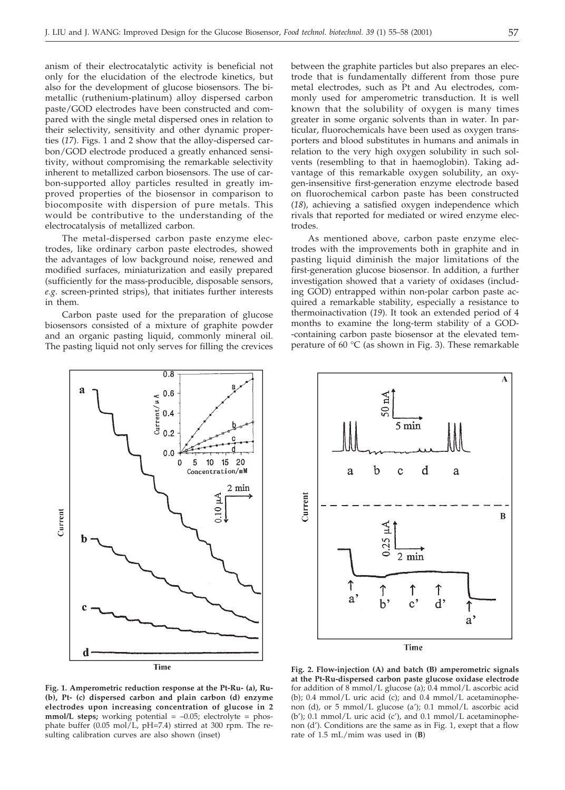anism of their electrocatalytic activity is beneficial not only for the elucidation of the electrode kinetics, but also for the development of glucose biosensors. The bimetallic (ruthenium-platinum) alloy dispersed carbon paste/GOD electrodes have been constructed and compared with the single metal dispersed ones in relation to their selectivity, sensitivity and other dynamic properties (*17*). Figs. 1 and 2 show that the alloy-dispersed carbon/GOD electrode produced a greatly enhanced sensitivity, without compromising the remarkable selectivity inherent to metallized carbon biosensors. The use of carbon-supported alloy particles resulted in greatly improved properties of the biosensor in comparison to biocomposite with dispersion of pure metals. This would be contributive to the understanding of the electrocatalysis of metallized carbon.

The metal-dispersed carbon paste enzyme electrodes, like ordinary carbon paste electrodes, showed the advantages of low background noise, renewed and modified surfaces, miniaturization and easily prepared (sufficiently for the mass-producible, disposable sensors, *e.g.* screen-printed strips), that initiates further interests in them.

Carbon paste used for the preparation of glucose biosensors consisted of a mixture of graphite powder and an organic pasting liquid, commonly mineral oil. The pasting liquid not only serves for filling the crevices between the graphite particles but also prepares an electrode that is fundamentally different from those pure metal electrodes, such as Pt and Au electrodes, commonly used for amperometric transduction. It is well known that the solubility of oxygen is many times greater in some organic solvents than in water. In particular, fluorochemicals have been used as oxygen transporters and blood substitutes in humans and animals in relation to the very high oxygen solubility in such solvents (resembling to that in haemoglobin). Taking advantage of this remarkable oxygen solubility, an oxygen-insensitive first-generation enzyme electrode based on fluorochemical carbon paste has been constructed (*18*), achieving a satisfied oxygen independence which rivals that reported for mediated or wired enzyme electrodes.

As mentioned above, carbon paste enzyme electrodes with the improvements both in graphite and in pasting liquid diminish the major limitations of the first-generation glucose biosensor. In addition, a further investigation showed that a variety of oxidases (including GOD) entrapped within non-polar carbon paste acquired a remarkable stability, especially a resistance to thermoinactivation (*19*). It took an extended period of 4 months to examine the long-term stability of a GOD- -containing carbon paste biosensor at the elevated temperature of 60 °C (as shown in Fig. 3). These remarkable





**Fig. 1. Amperometric reduction response at the Pt-Ru- (a), Ru- (b), Pt- (c) dispersed carbon and plain carbon (d) enzyme electrodes upon increasing concentration of glucose in 2 mmol/L steps;** working potential = -0.05; electrolyte = phosphate buffer  $(0.05 \text{ mol/L}, \text{pH} = 7.4)$  stirred at 300 rpm. The resulting calibration curves are also shown (inset)

**Fig. 2. Flow-injection (A) and batch (B) amperometric signals at the Pt-Ru-dispersed carbon paste glucose oxidase electrode** for addition of 8 mmol/L glucose (a); 0.4 mmol/L ascorbic acid (b);  $0.4 \text{ mmol/L}$  uric acid (c); and  $0.4 \text{ mmol/L}$  acetaminophenon (d), or 5 mmol/L glucose (a'); 0.1 mmol/L ascorbic acid (b'); 0.1 mmol/L uric acid (c'), and 0.1 mmol/L acetaminophenon (d'). Conditions are the same as in Fig. 1, exept that a flow rate of 1.5 mL/mim was used in (**B**)